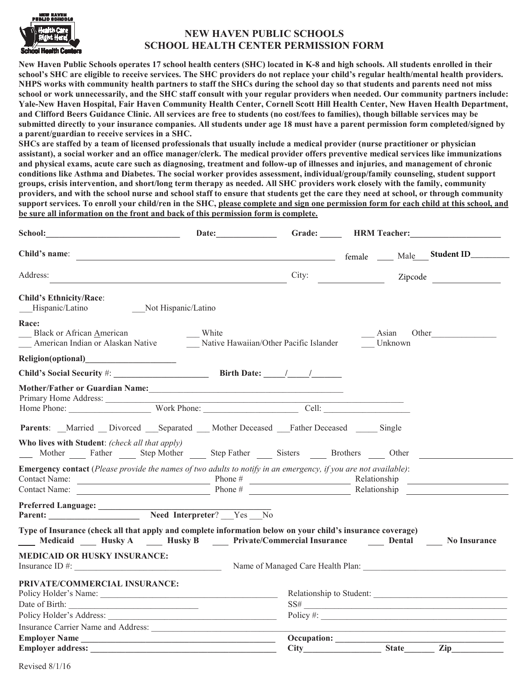

## **NEW HAVEN PUBLIC SCHOOLS SCHOOL HEALTH CENTER PERMISSION FORM**

**New Haven Public Schools operates 17 school health centers (SHC) located in K-8 and high schools. All students enrolled in their school's SHC are eligible to receive services. The SHC providers do not replace your child's regular health/mental health providers. NHPS works with community health partners to staff the SHCs during the school day so that students and parents need not miss school or work unnecessarily, and the SHC staff consult with your regular providers when needed. Our community partners include: Yale-New Haven Hospital, Fair Haven Community Health Center, Cornell Scott Hill Health Center, New Haven Health Department, and Clifford Beers Guidance Clinic. All services are free to students (no cost/fees to families), though billable services may be submitted directly to your insurance companies. All students under age 18 must have a parent permission form completed/signed by a parent/guardian to receive services in a SHC.** 

**SHCs are staffed by a team of licensed professionals that usually include a medical provider (nurse practitioner or physician assistant), a social worker and an office manager/clerk. The medical provider offers preventive medical services like immunizations and physical exams, acute care such as diagnosing, treatment and follow-up of illnesses and injuries, and management of chronic conditions like Asthma and Diabetes. The social worker provides assessment, individual/group/family counseling, student support groups, crisis intervention, and short/long term therapy as needed. All SHC providers work closely with the family, community providers, and with the school nurse and school staff to ensure that students get the care they need at school, or through community support services. To enroll your child/ren in the SHC, please complete and sign one permission form for each child at this school, and be sure all information on the front and back of this permission form is complete.** 

| Address:                                                                                                                                                                                |       | City:<br>Zipcode                                                                                                                                                                                                                    |
|-----------------------------------------------------------------------------------------------------------------------------------------------------------------------------------------|-------|-------------------------------------------------------------------------------------------------------------------------------------------------------------------------------------------------------------------------------------|
| <b>Child's Ethnicity/Race:</b><br>Not Hispanic/Latino<br>Hispanic/Latino                                                                                                                |       |                                                                                                                                                                                                                                     |
| Race:<br><b>Black or African American</b><br>American Indian or Alaskan Native Mative Hawaiian/Other Pacific Islander                                                                   | White | Asian<br>Other<br>Unknown                                                                                                                                                                                                           |
|                                                                                                                                                                                         |       |                                                                                                                                                                                                                                     |
| Child's Social Security #: Birth Date: 1 1                                                                                                                                              |       |                                                                                                                                                                                                                                     |
|                                                                                                                                                                                         |       |                                                                                                                                                                                                                                     |
| <b>Parents:</b> Married Divorced Separated Mother Deceased Father Deceased Single                                                                                                       |       |                                                                                                                                                                                                                                     |
| Who lives with Student: (check all that apply)<br>Mother Father Step Mother Step Father Sisters Brothers Other                                                                          |       |                                                                                                                                                                                                                                     |
| <b>Emergency contact</b> (Please provide the names of two adults to notify in an emergency, if you are not available):                                                                  |       | Contact Name: <u>Contact Name:</u> Phone # Phone # Relationship Relationship Relationship Phone # Relationship Relationship Relationship Relationship Relationship Relationship Relationship Relationship Relationship Relationship |
| Parent: Need Interpreter? Yes No                                                                                                                                                        |       |                                                                                                                                                                                                                                     |
| Type of Insurance (check all that apply and complete information below on your child's insurance coverage)<br>Medicaid Husky A Husky B Private/Commercial Insurance Dental No Insurance |       |                                                                                                                                                                                                                                     |
| <b>MEDICAID OR HUSKY INSURANCE:</b>                                                                                                                                                     |       | Insurance ID #: Name of Managed Care Health Plan:                                                                                                                                                                                   |
| PRIVATE/COMMERCIAL INSURANCE:<br>Date of Birth:                                                                                                                                         |       | $SS\#$<br>Policy #:                                                                                                                                                                                                                 |
|                                                                                                                                                                                         |       |                                                                                                                                                                                                                                     |
| Employer Name                                                                                                                                                                           |       | Occupation: State Zip                                                                                                                                                                                                               |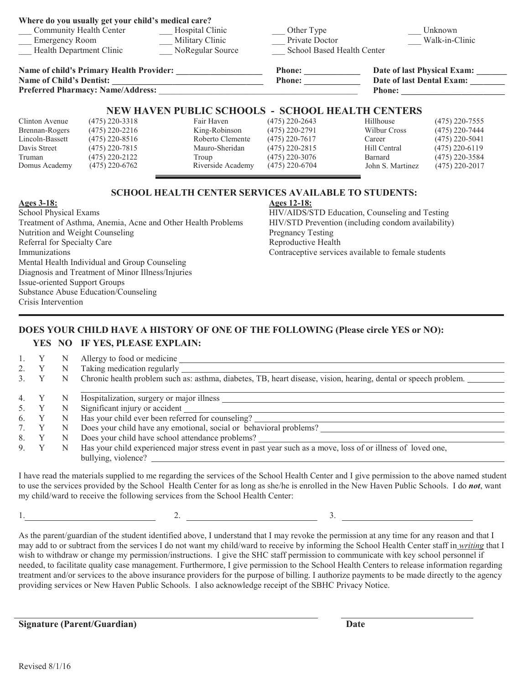|                                                 | Where do you usually get your child's medical care? |                                 |                                   |                             |                  |
|-------------------------------------------------|-----------------------------------------------------|---------------------------------|-----------------------------------|-----------------------------|------------------|
| Community Health Center                         |                                                     | Hospital Clinic                 | Other Type                        |                             | Unknown          |
| <b>Emergency Room</b>                           |                                                     | Military Clinic                 | Private Doctor                    | Walk-in-Clinic              |                  |
| <b>Health Department Clinic</b>                 |                                                     | NoRegular Source                | <b>School Based Health Center</b> |                             |                  |
| <b>Name of child's Primary Health Provider:</b> |                                                     |                                 | <b>Phone:</b>                     | Date of last Physical Exam: |                  |
| <b>Name of Child's Dentist:</b>                 |                                                     |                                 | <b>Phone:</b>                     | Date of last Dental Exam:   |                  |
| <b>Preferred Pharmacy: Name/Address:</b>        |                                                     |                                 |                                   | <b>Phone:</b>               |                  |
|                                                 |                                                     | <b>NEW HAVEN PUBLIC SCHOOLS</b> | - SCHOOL HEALTH CENTERS           |                             |                  |
| Clinton Avenue                                  | $(475)$ 220-3318                                    | Fair Haven                      | $(475)$ 220-2643                  | Hillhouse                   | $(475)$ 220-7555 |
| Brennan-Rogers                                  | $(475)$ 220-2216                                    | King-Robinson                   | (475) 220-2791                    | Wilbur Cross                | $(475)$ 220-7444 |
| Lincoln-Bassett                                 | $(475)$ 220-8516                                    | Roberto Clemente                | $(475)$ 220-7617                  | Career                      | $(475)$ 220-5041 |
| Davis Street                                    | $(475)$ 220-7815                                    | Mauro-Sheridan                  | (475) 220-2815                    | Hill Central                | $(475)$ 220-6119 |
| Truman                                          | $(475)$ 220-2122                                    | Troup                           | (475) 220-3076                    | Barnard                     | $(475)$ 220-3584 |
| Domus Academy                                   | $(475)$ 220-6762                                    | Riverside Academy               | $(475)$ 220-6704                  | John S. Martinez            | $(475)$ 220-2017 |

## **SCHOOL HEALTH CENTER SERVICES AVAILABLE TO STUDENTS:**

### **Ages 3-18:**

School Physical Exams Treatment of Asthma, Anemia, Acne and Other Health Problems Nutrition and Weight Counseling Referral for Specialty Care Immunizations Mental Health Individual and Group Counseling Diagnosis and Treatment of Minor Illness/Injuries Issue-oriented Support Groups Substance Abuse Education/Counseling Crisis Intervention

**Ages 12-18:** HIV/AIDS/STD Education, Counseling and Testing

HIV/STD Prevention (including condom availability) Pregnancy Testing Reproductive Health Contraceptive services available to female students

# **DOES YOUR CHILD HAVE A HISTORY OF ONE OF THE FOLLOWING (Please circle YES or NO):**

## **YES NO IF YES, PLEASE EXPLAIN:**

|                | N | Allergy to food or medicine<br>Taking medication regularly                                                      |
|----------------|---|-----------------------------------------------------------------------------------------------------------------|
| 3 <sub>1</sub> |   | Chronic health problem such as: asthma, diabetes, TB, heart disease, vision, hearing, dental or speech problem. |
| 4.             |   | Hospitalization, surgery or major illness                                                                       |
|                | N |                                                                                                                 |
|                |   | Significant injury or accident                                                                                  |
| 6.             | N | Has your child ever been referred for counseling?                                                               |
|                | N | Does your child have any emotional, social or behavioral problems?                                              |
| 8.             | N | Does your child have school attendance problems?                                                                |
| 9              |   | Has your child experienced major stress event in past year such as a move, loss of or illness of loved one,     |
|                |   | bullying, violence?                                                                                             |

I have read the materials supplied to me regarding the services of the School Health Center and I give permission to the above named student to use the services provided by the School Health Center for as long as she/he is enrolled in the New Haven Public Schools. I do *not*, want my child/ward to receive the following services from the School Health Center:

1. 2. 3.

As the parent/guardian of the student identified above, I understand that I may revoke the permission at any time for any reason and that I may add to or subtract from the services I do not want my child/ward to receive by informing the School Health Center staff in *writing* that I wish to withdraw or change my permission/instructions. I give the SHC staff permission to communicate with key school personnel if needed, to facilitate quality case management. Furthermore, I give permission to the School Health Centers to release information regarding treatment and/or services to the above insurance providers for the purpose of billing. I authorize payments to be made directly to the agency providing services or New Haven Public Schools. I also acknowledge receipt of the SBHC Privacy Notice.

**Signature (Parent/Guardian) Date**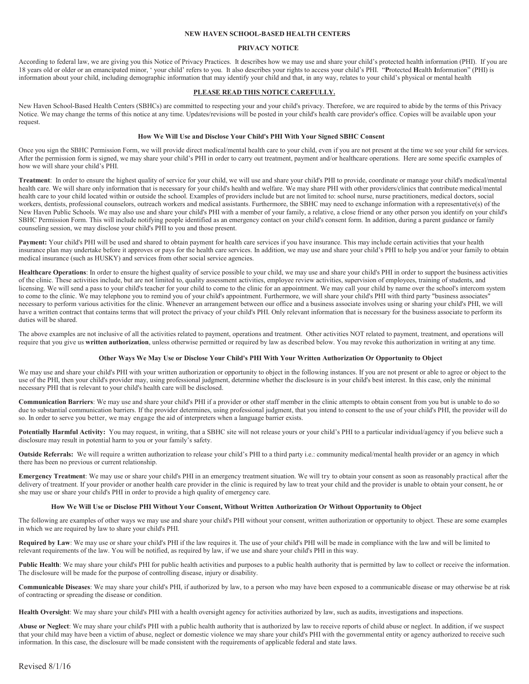#### **NEW HAVEN SCHOOL-BASED HEALTH CENTERS**

#### **PRIVACY NOTICE**

According to federal law, we are giving you this Notice of Privacy Practices. It describes how we may use and share your child's protected health information (PHI). If you are 18 years old or older or an emancipated minor, ' your child' refers to you. It also describes your rights to access your child's PHI. "**P**rotected **H**ealth **I**nformation" (PHI) is information about your child, including demographic information that may identify your child and that, in any way, relates to your child's physical or mental health

#### **PLEASE READ THIS NOTICE CAREFULLY.**

New Haven School-Based Health Centers (SBHCs) are committed to respecting your and your child's privacy. Therefore, we are required to abide by the terms of this Privacy Notice. We may change the terms of this notice at any time. Updates/revisions will be posted in your child's health care provider's office. Copies will be available upon your request.

#### **How We Will Use and Disclose Your Child's PHI With Your Signed SBHC Consent**

Once you sign the SBHC Permission Form, we will provide direct medical/mental health care to your child, even if you are not present at the time we see your child for services. After the permission form is signed, we may share your child's PHI in order to carry out treatment, payment and/or healthcare operations. Here are some specific examples of how we will share your child's PHI.

**Treatment**: In order to ensure the highest quality of service for your child, we will use and share your child's PHI to provide, coordinate or manage your child's medical/mental health care. We will share only information that is necessary for your child's health and welfare. We may share PHI with other providers/clinics that contribute medical/mental health care to your child located within or outside the school. Examples of providers include but are not limited to: school nurse, nurse practitioners, medical doctors, social workers, dentists, professional counselors, outreach workers and medical assistants. Furthermore, the SBHC may need to exchange information with a representative(s) of the New Haven Public Schools. We may also use and share your child's PHI with a member of your family, a relative, a close friend or any other person you identify on your child's SBHC Permission Form. This will include notifying people identified as an emergency contact on your child's consent form. In addition, during a parent guidance or family counseling session, we may disclose your child's PHI to you and those present.

Payment: Your child's PHI will be used and shared to obtain payment for health care services if you have insurance. This may include certain activities that your health insurance plan may undertake before it approves or pays for the health care services. In addition, we may use and share your child's PHI to help you and/or your family to obtain medical insurance (such as HUSKY) and services from other social service agencies.

**Healthcare Operations**: In order to ensure the highest quality of service possible to your child, we may use and share your child's PHI in order to support the business activities of the clinic. These activities include, but are not limited to, quality assessment activities, employee review activities, supervision of employees, training of students, and licensing. We will send a pass to your child's teacher for your child to come to the clinic for an appointment. We may call your child by name over the school's intercom system to come to the clinic. We may telephone you to remind you of your child's appointment. Furthermore, we will share your child's PHI with third party "business associates" necessary to perform various activities for the clinic. Whenever an arrangement between our office and a business associate involves using or sharing your child's PHI, we will have a written contract that contains terms that will protect the privacy of your child's PHI. Only relevant information that is necessary for the business associate to perform its duties will be shared.

The above examples are not inclusive of all the activities related to payment, operations and treatment. Other activities NOT related to payment, treatment, and operations will require that you give us **written authorization**, unless otherwise permitted or required by law as described below. You may revoke this authorization in writing at any time.

#### **Other Ways We May Use or Disclose Your Child's PHI With Your Written Authorization Or Opportunity to Object**

We may use and share your child's PHI with your written authorization or opportunity to object in the following instances. If you are not present or able to agree or object to the use of the PHI, then your child's provider may, using professional judgment, determine whether the disclosure is in your child's best interest. In this case, only the minimal necessary PHI that is relevant to your child's health care will be disclosed.

**Communication Barriers**: We may use and share your child's PHI if a provider or other staff member in the clinic attempts to obtain consent from you but is unable to do so due to substantial communication barriers. If the provider determines, using professional judgment, that you intend to consent to the use of your child's PHI, the provider will do so. In order to serve you better, we may engage the aid of interpreters when a language barrier exists.

Potentially Harmful Activity: You may request, in writing, that a SBHC site will not release yours or your child's PHI to a particular individual/agency if you believe such a disclosure may result in potential harm to you or your family's safety.

**Outside Referrals:** We will require a written authorization to release your child's PHI to a third party i.e.: community medical/mental health provider or an agency in which there has been no previous or current relationship.

**Emergency Treatment**: We may use or share your child's PHI in an emergency treatment situation. We will try to obtain your consent as soon as reasonably practical after the delivery of treatment. If your provider or another health care provider in the clinic is required by law to treat your child and the provider is unable to obtain your consent, he or she may use or share your child's PHI in order to provide a high quality of emergency care.

#### **How We Will Use or Disclose PHI Without Your Consent, Without Written Authorization Or Without Opportunity to Object**

The following are examples of other ways we may use and share your child's PHI without your consent, written authorization or opportunity to object. These are some examples in which we are required by law to share your child's PHI.

**Required by Law**: We may use or share your child's PHI if the law requires it. The use of your child's PHI will be made in compliance with the law and will be limited to relevant requirements of the law. You will be notified, as required by law, if we use and share your child's PHI in this way.

Public Health: We may share your child's PHI for public health activities and purposes to a public health authority that is permitted by law to collect or receive the information. The disclosure will be made for the purpose of controlling disease, injury or disability.

**Communicable Diseases**: We may share your child's PHI, if authorized by law, to a person who may have been exposed to a communicable disease or may otherwise be at risk of contracting or spreading the disease or condition.

**Health Oversight**: We may share your child's PHI with a health oversight agency for activities authorized by law, such as audits, investigations and inspections.

**Abuse or Neglect**: We may share your child's PHI with a public health authority that is authorized by law to receive reports of child abuse or neglect. In addition, if we suspect that your child may have been a victim of abuse, neglect or domestic violence we may share your child's PHI with the governmental entity or agency authorized to receive such information. In this case, the disclosure will be made consistent with the requirements of applicable federal and state laws.